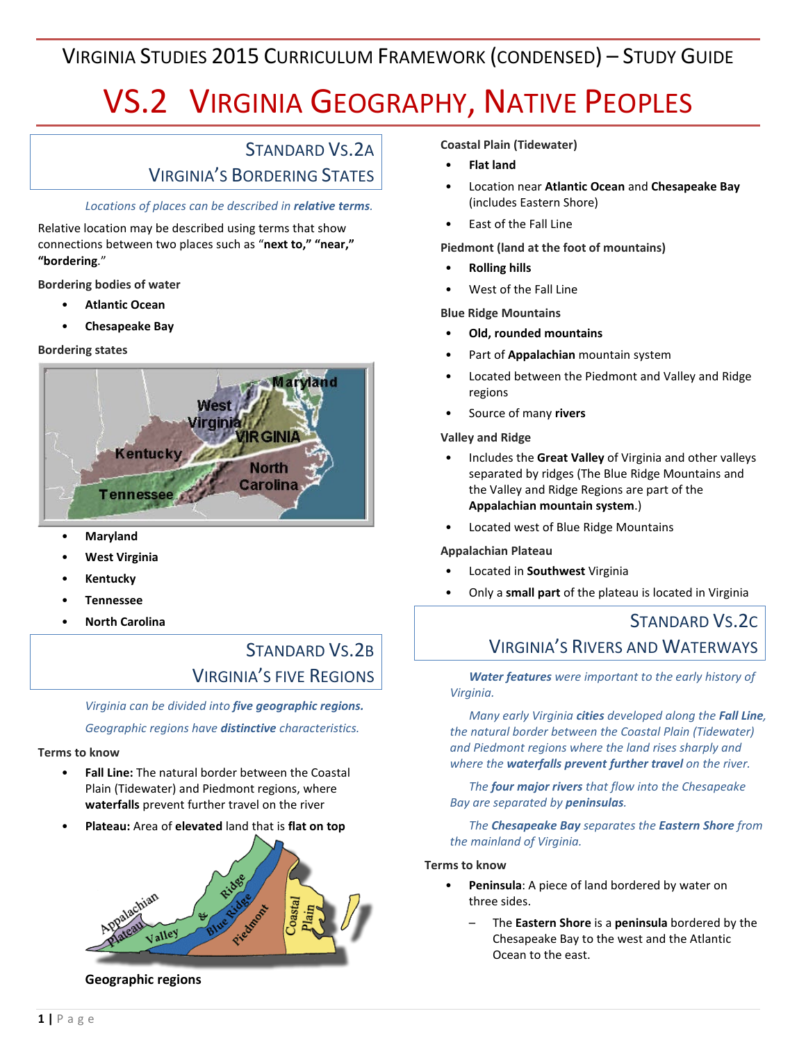# VIRGINIA STUDIES 2015 CURRICULUM FRAMEWORK (CONDENSED) – STUDY GUIDE

# VS.2 VIRGINIA GEOGRAPHY, NATIVE PEOPLES

### STANDARD VS.2A VIRGINIA'S BORDERING STATES

### *Locations of places can be described in relative terms.*

Relative location may be described using terms that show connections between two places such as "**next to," "near," "bordering**."

**Bordering bodies of water**

- **Atlantic Ocean**
- **Chesapeake Bay**

### **Bordering states**



- **Maryland**
- **West Virginia**
- **Kentucky**
- **Tennessee**
- **North Carolina**

## STANDARD VS.2B VIRGINIA'S FIVE REGIONS

*Virginia can be divided into five geographic regions.*

*Geographic regions have distinctive characteristics.*

### **Terms to know**

- **Fall Line:** The natural border between the Coastal Plain (Tidewater) and Piedmont regions, where **waterfalls** prevent further travel on the river
- **Plateau:** Area of **elevated** land that is **flat on top**



**Geographic regions**

**Coastal Plain (Tidewater)**

- **Flat land**
- Location near **Atlantic Ocean** and **Chesapeake Bay** (includes Eastern Shore)
- East of the Fall Line

**Piedmont (land at the foot of mountains)**

- **Rolling hills**
- West of the Fall Line

**Blue Ridge Mountains**

- **Old, rounded mountains**
- Part of **Appalachian** mountain system
- Located between the Piedmont and Valley and Ridge regions
- Source of many **rivers**

#### **Valley and Ridge**

- Includes the **Great Valley** of Virginia and other valleys separated by ridges (The Blue Ridge Mountains and the Valley and Ridge Regions are part of the **Appalachian mountain system**.)
- Located west of Blue Ridge Mountains

### **Appalachian Plateau**

- Located in **Southwest** Virginia
- Only a **small part** of the plateau is located in Virginia

### STANDARD VS.2C VIRGINIA'S RIVERS AND WATERWAYS

### *Water features were important to the early history of Virginia.*

*Many early Virginia cities developed along the Fall Line, the natural border between the Coastal Plain (Tidewater) and Piedmont regions where the land rises sharply and where the waterfalls prevent further travel on the river.*

*The four major rivers that flow into the Chesapeake Bay are separated by peninsulas.*

*The Chesapeake Bay separates the Eastern Shore from the mainland of Virginia.*

### **Terms to know**

- **Peninsula**: A piece of land bordered by water on three sides.
	- The **Eastern Shore** is a **peninsula** bordered by the Chesapeake Bay to the west and the Atlantic Ocean to the east.